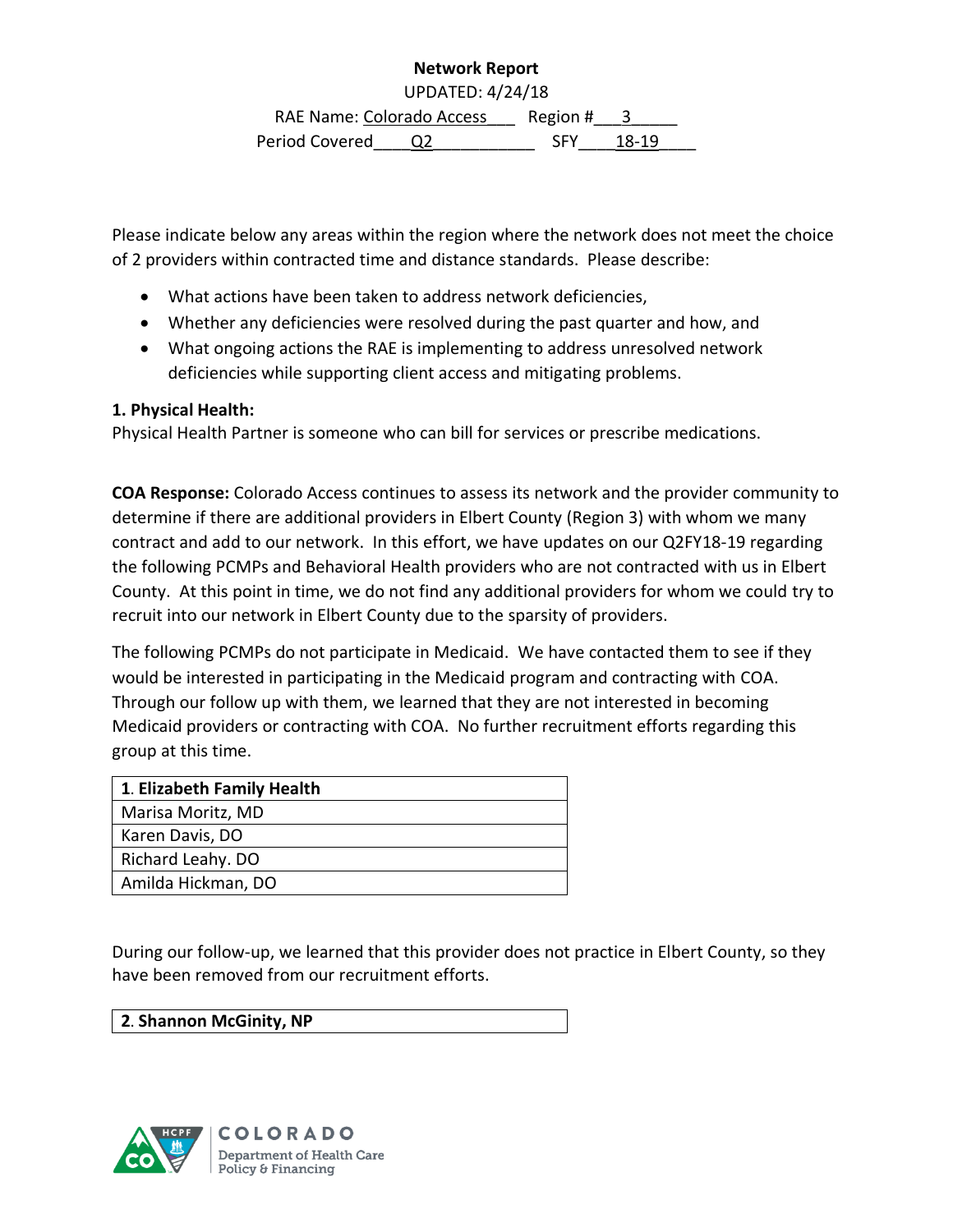## **Network Report**

UPDATED: 4/24/18

RAE Name: Colorado Access Region # \_\_ 3 Period Covered Q2 5FY 18-19

Please indicate below any areas within the region where the network does not meet the choice of 2 providers within contracted time and distance standards. Please describe:

- What actions have been taken to address network deficiencies,
- Whether any deficiencies were resolved during the past quarter and how, and
- What ongoing actions the RAE is implementing to address unresolved network deficiencies while supporting client access and mitigating problems.

## **1. Physical Health:**

Physical Health Partner is someone who can bill for services or prescribe medications.

**COA Response:** Colorado Access continues to assess its network and the provider community to determine if there are additional providers in Elbert County (Region 3) with whom we many contract and add to our network. In this effort, we have updates on our Q2FY18-19 regarding the following PCMPs and Behavioral Health providers who are not contracted with us in Elbert County. At this point in time, we do not find any additional providers for whom we could try to recruit into our network in Elbert County due to the sparsity of providers.

The following PCMPs do not participate in Medicaid. We have contacted them to see if they would be interested in participating in the Medicaid program and contracting with COA. Through our follow up with them, we learned that they are not interested in becoming Medicaid providers or contracting with COA. No further recruitment efforts regarding this group at this time.

| 1. Elizabeth Family Health |
|----------------------------|
| Marisa Moritz, MD          |
| Karen Davis, DO            |
| Richard Leahy. DO          |
| Amilda Hickman, DO         |

During our follow-up, we learned that this provider does not practice in Elbert County, so they have been removed from our recruitment efforts.

## **2**. **Shannon McGinity, NP**

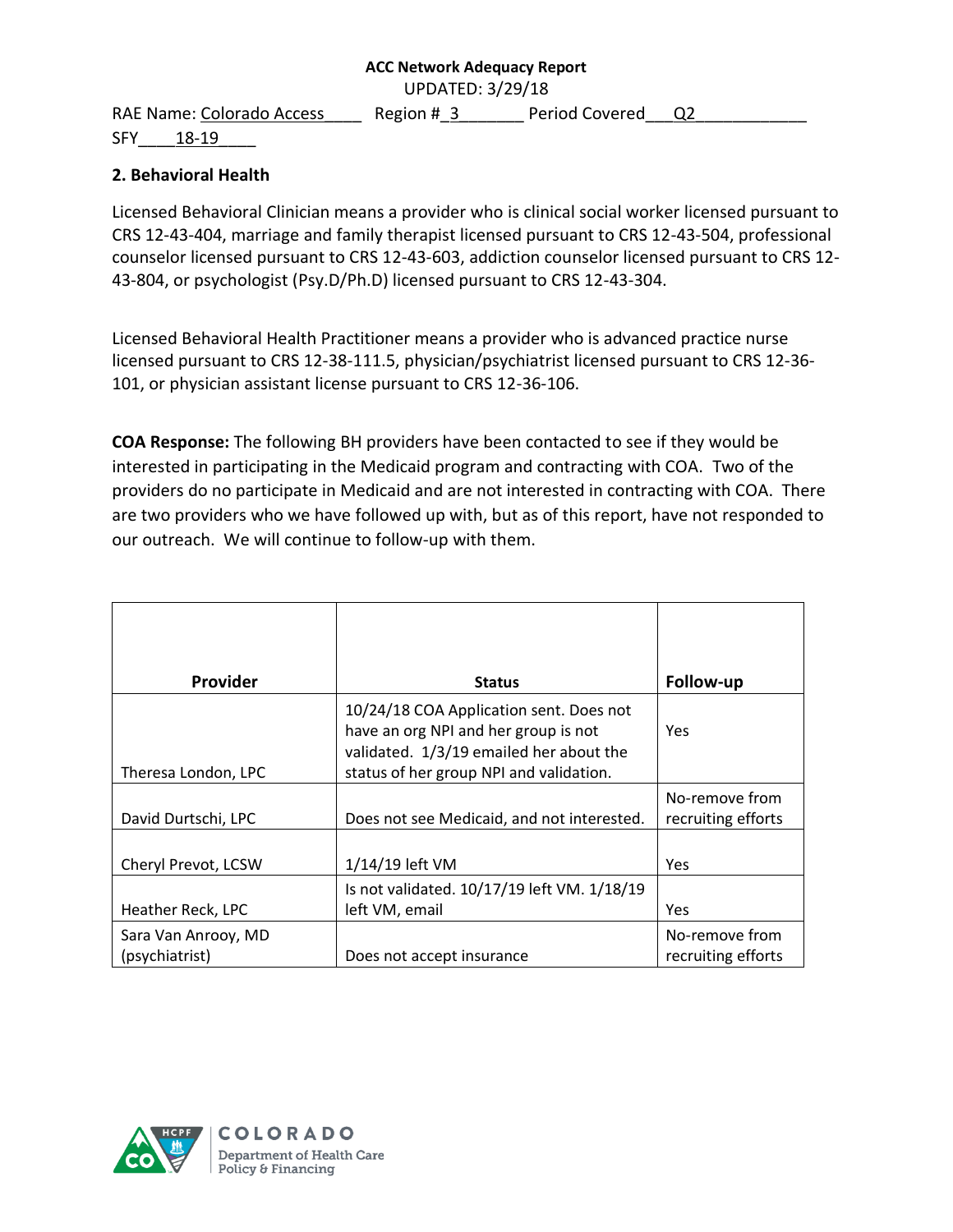UPDATED: 3/29/18

SFY 18-19

RAE Name: Colorado Access Region # 3 Period Covered Q2

# **2. Behavioral Health**

Licensed Behavioral Clinician means a provider who is clinical social worker licensed pursuant to CRS 12-43-404, marriage and family therapist licensed pursuant to CRS 12-43-504, professional counselor licensed pursuant to CRS 12-43-603, addiction counselor licensed pursuant to CRS 12- 43-804, or psychologist (Psy.D/Ph.D) licensed pursuant to CRS 12-43-304.

Licensed Behavioral Health Practitioner means a provider who is advanced practice nurse licensed pursuant to CRS 12-38-111.5, physician/psychiatrist licensed pursuant to CRS 12-36- 101, or physician assistant license pursuant to CRS 12-36-106.

**COA Response:** The following BH providers have been contacted to see if they would be interested in participating in the Medicaid program and contracting with COA. Two of the providers do no participate in Medicaid and are not interested in contracting with COA. There are two providers who we have followed up with, but as of this report, have not responded to our outreach. We will continue to follow-up with them.

| <b>Provider</b>                       | <b>Status</b>                                                                                                                                                         | Follow-up                            |
|---------------------------------------|-----------------------------------------------------------------------------------------------------------------------------------------------------------------------|--------------------------------------|
| Theresa London, LPC                   | 10/24/18 COA Application sent. Does not<br>have an org NPI and her group is not<br>validated. 1/3/19 emailed her about the<br>status of her group NPI and validation. | Yes                                  |
| David Durtschi, LPC                   | Does not see Medicaid, and not interested.                                                                                                                            | No-remove from<br>recruiting efforts |
| Cheryl Prevot, LCSW                   | 1/14/19 left VM                                                                                                                                                       | Yes                                  |
| Heather Reck, LPC                     | Is not validated. 10/17/19 left VM. 1/18/19<br>left VM, email                                                                                                         | Yes                                  |
| Sara Van Anrooy, MD<br>(psychiatrist) | Does not accept insurance                                                                                                                                             | No-remove from<br>recruiting efforts |

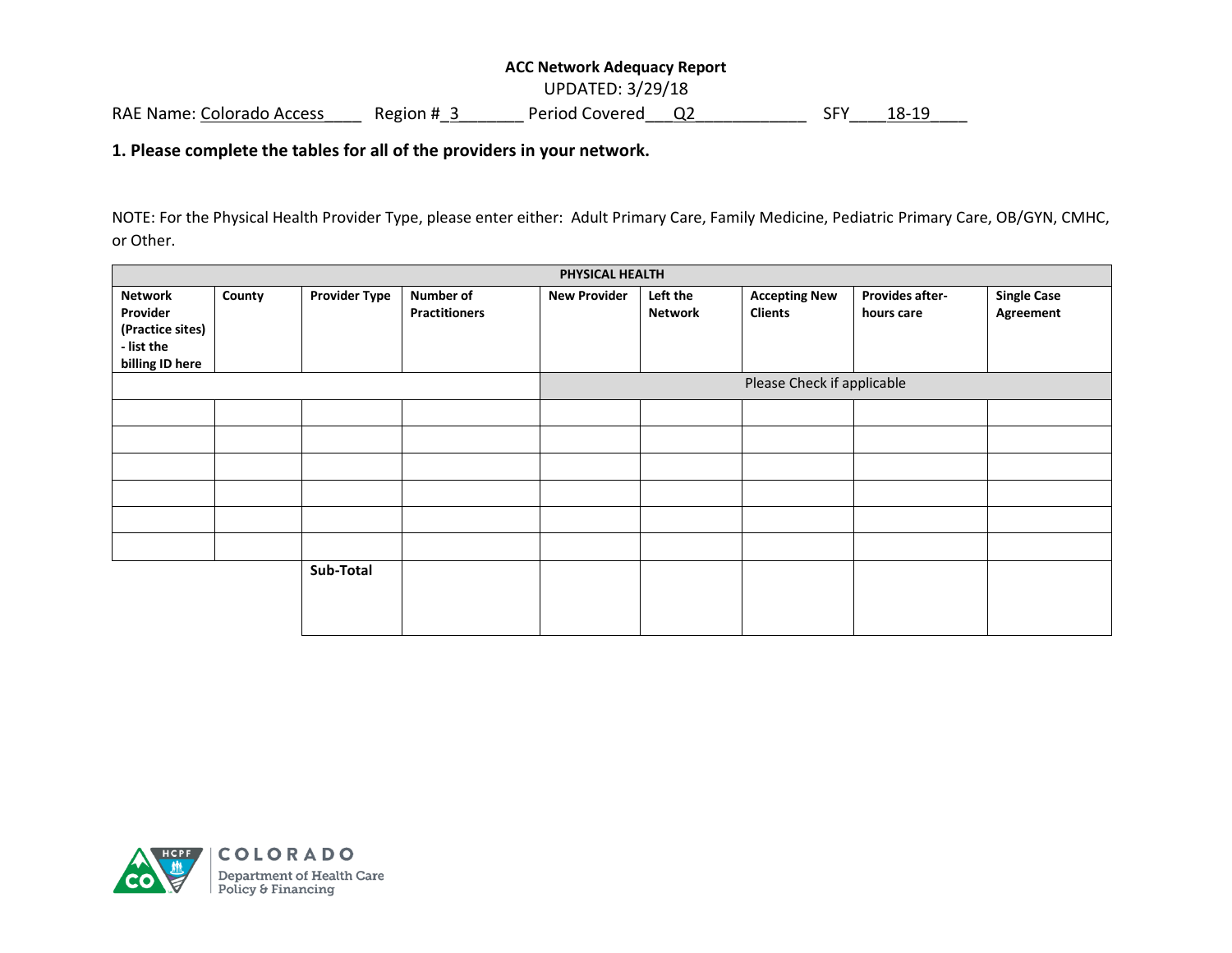## **ACC Network Adequacy Report**  UPDATED: 3/29/18 RAE Name: Colorado Access Region # 3 Period Covered Q2 SFY 18-19

#### **1. Please complete the tables for all of the providers in your network.**

NOTE: For the Physical Health Provider Type, please enter either: Adult Primary Care, Family Medicine, Pediatric Primary Care, OB/GYN, CMHC, or Other.

| PHYSICAL HEALTH               |        |                      |                                   |                            |                            |                                        |                               |                                 |
|-------------------------------|--------|----------------------|-----------------------------------|----------------------------|----------------------------|----------------------------------------|-------------------------------|---------------------------------|
| <b>Network</b><br>Provider    | County | <b>Provider Type</b> | Number of<br><b>Practitioners</b> | <b>New Provider</b>        | Left the<br><b>Network</b> | <b>Accepting New</b><br><b>Clients</b> | Provides after-<br>hours care | <b>Single Case</b><br>Agreement |
| (Practice sites)              |        |                      |                                   |                            |                            |                                        |                               |                                 |
| - list the<br>billing ID here |        |                      |                                   |                            |                            |                                        |                               |                                 |
|                               |        |                      |                                   | Please Check if applicable |                            |                                        |                               |                                 |
|                               |        |                      |                                   |                            |                            |                                        |                               |                                 |
|                               |        |                      |                                   |                            |                            |                                        |                               |                                 |
|                               |        |                      |                                   |                            |                            |                                        |                               |                                 |
|                               |        |                      |                                   |                            |                            |                                        |                               |                                 |
|                               |        |                      |                                   |                            |                            |                                        |                               |                                 |
|                               |        |                      |                                   |                            |                            |                                        |                               |                                 |
|                               |        | Sub-Total            |                                   |                            |                            |                                        |                               |                                 |
|                               |        |                      |                                   |                            |                            |                                        |                               |                                 |
|                               |        |                      |                                   |                            |                            |                                        |                               |                                 |

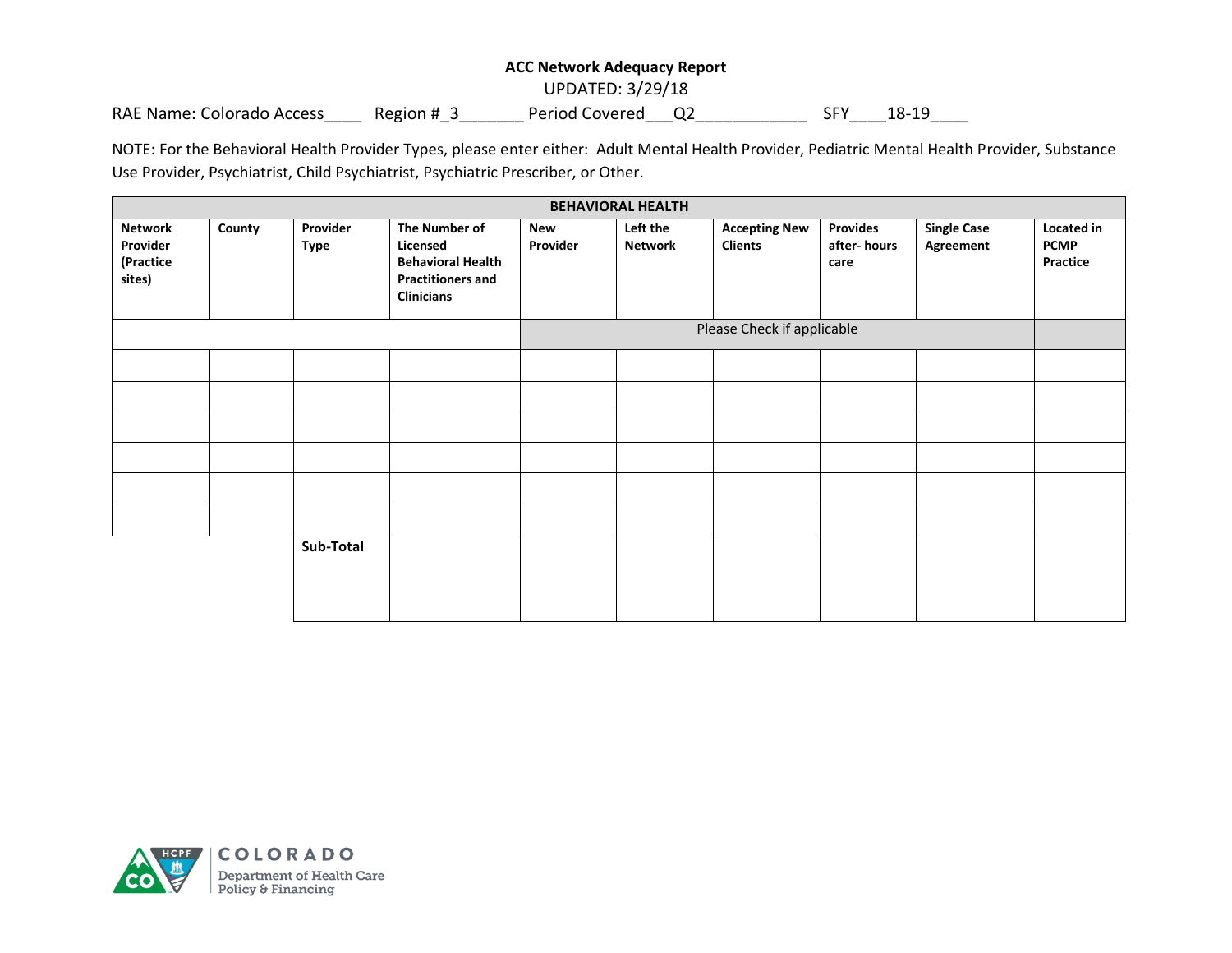UPDATED: 3/29/18

RAE Name: Colorado Access Region # 3 Period Covered Q2 SFY 18-19

NOTE: For the Behavioral Health Provider Types, please enter either: Adult Mental Health Provider, Pediatric Mental Health Provider, Substance Use Provider, Psychiatrist, Child Psychiatrist, Psychiatric Prescriber, or Other.

| <b>BEHAVIORAL HEALTH</b>                          |        |                         |                                                                                                        |                        |                            |                                        |                                        |                                 |                                       |
|---------------------------------------------------|--------|-------------------------|--------------------------------------------------------------------------------------------------------|------------------------|----------------------------|----------------------------------------|----------------------------------------|---------------------------------|---------------------------------------|
| <b>Network</b><br>Provider<br>(Practice<br>sites) | County | Provider<br><b>Type</b> | The Number of<br>Licensed<br><b>Behavioral Health</b><br><b>Practitioners and</b><br><b>Clinicians</b> | <b>New</b><br>Provider | Left the<br><b>Network</b> | <b>Accepting New</b><br><b>Clients</b> | <b>Provides</b><br>after-hours<br>care | <b>Single Case</b><br>Agreement | Located in<br><b>PCMP</b><br>Practice |
|                                                   |        |                         |                                                                                                        |                        |                            | Please Check if applicable             |                                        |                                 |                                       |
|                                                   |        |                         |                                                                                                        |                        |                            |                                        |                                        |                                 |                                       |
|                                                   |        |                         |                                                                                                        |                        |                            |                                        |                                        |                                 |                                       |
|                                                   |        |                         |                                                                                                        |                        |                            |                                        |                                        |                                 |                                       |
|                                                   |        |                         |                                                                                                        |                        |                            |                                        |                                        |                                 |                                       |
|                                                   |        |                         |                                                                                                        |                        |                            |                                        |                                        |                                 |                                       |
|                                                   |        |                         |                                                                                                        |                        |                            |                                        |                                        |                                 |                                       |
|                                                   |        | Sub-Total               |                                                                                                        |                        |                            |                                        |                                        |                                 |                                       |

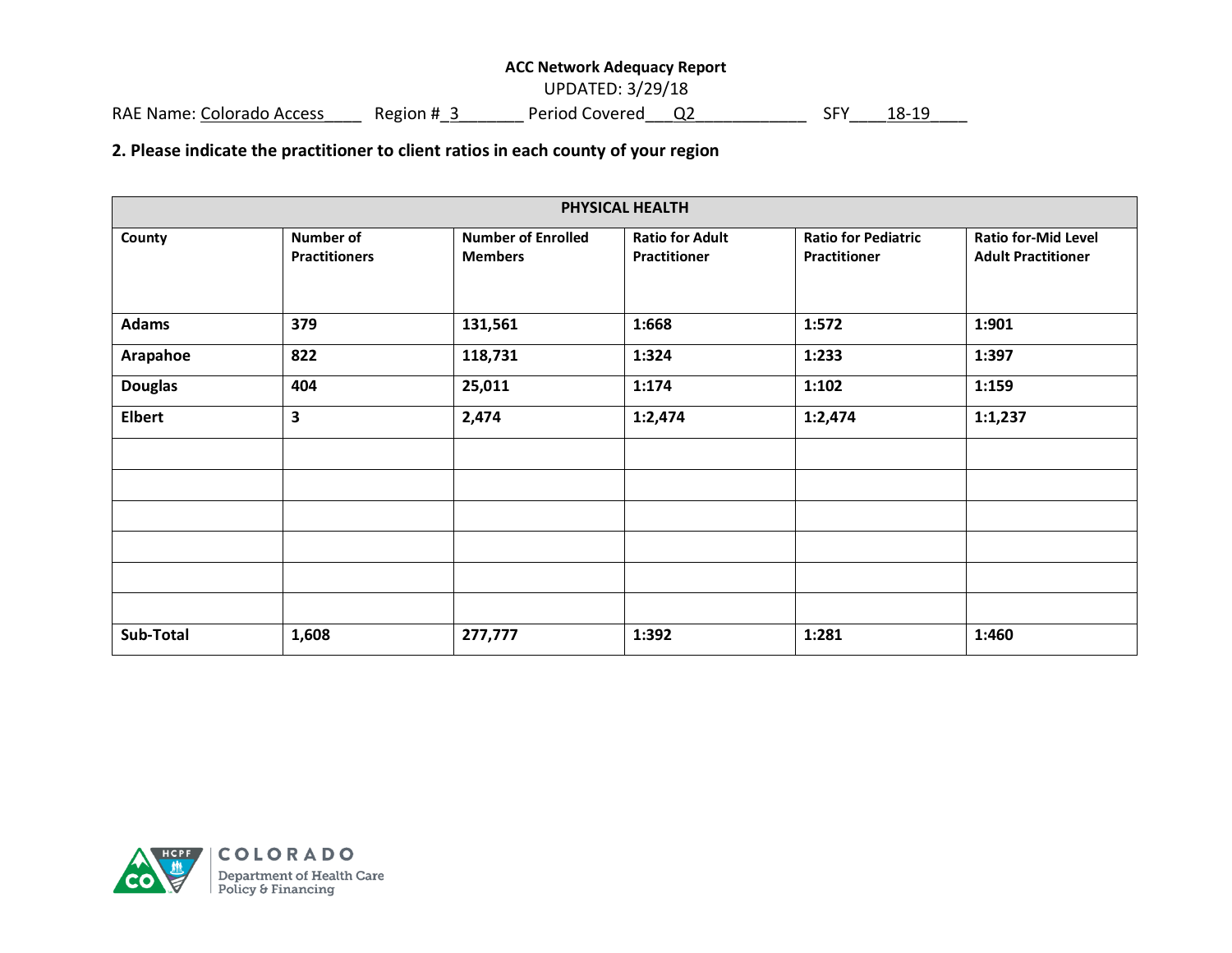UPDATED: 3/29/18

RAE Name: Colorado Access\_\_\_\_\_ Region #\_3\_\_\_\_\_\_\_\_ Period Covered\_\_\_Q2\_\_\_\_\_\_\_\_\_\_\_\_\_ SFY\_\_\_\_ 18-19

**2. Please indicate the practitioner to client ratios in each county of your region**

| PHYSICAL HEALTH |                                          |                                             |                                        |                                                   |                                                         |  |  |
|-----------------|------------------------------------------|---------------------------------------------|----------------------------------------|---------------------------------------------------|---------------------------------------------------------|--|--|
| County          | <b>Number of</b><br><b>Practitioners</b> | <b>Number of Enrolled</b><br><b>Members</b> | <b>Ratio for Adult</b><br>Practitioner | <b>Ratio for Pediatric</b><br><b>Practitioner</b> | <b>Ratio for-Mid Level</b><br><b>Adult Practitioner</b> |  |  |
| <b>Adams</b>    | 379                                      | 131,561                                     | 1:668                                  | 1:572                                             | 1:901                                                   |  |  |
| Arapahoe        | 822                                      | 118,731                                     | 1:324                                  | 1:233                                             | 1:397                                                   |  |  |
| <b>Douglas</b>  | 404                                      | 25,011                                      | 1:174                                  | 1:102                                             | 1:159                                                   |  |  |
| <b>Elbert</b>   | 3                                        | 2,474                                       | 1:2,474                                | 1:2,474                                           | 1:1,237                                                 |  |  |
|                 |                                          |                                             |                                        |                                                   |                                                         |  |  |
|                 |                                          |                                             |                                        |                                                   |                                                         |  |  |
|                 |                                          |                                             |                                        |                                                   |                                                         |  |  |
|                 |                                          |                                             |                                        |                                                   |                                                         |  |  |
|                 |                                          |                                             |                                        |                                                   |                                                         |  |  |
|                 |                                          |                                             |                                        |                                                   |                                                         |  |  |
| Sub-Total       | 1,608                                    | 277,777                                     | 1:392                                  | 1:281                                             | 1:460                                                   |  |  |